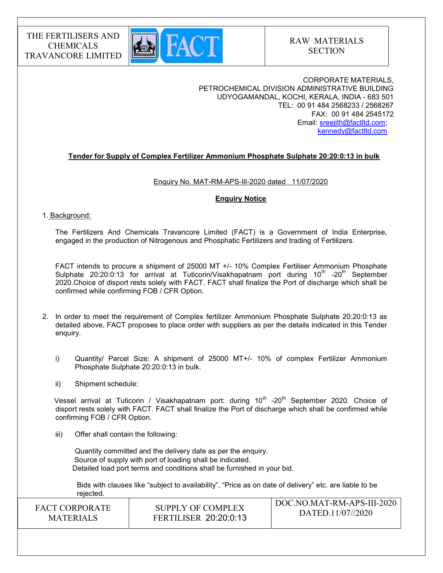

CORPORATE MATERIALS, PETROCHEMICAL DIVISION ADMINISTRATIVE BUILDING UDYOGAMANDAL, KOCHI, KERALA, INDIA - 683 501 TEL: 00 91 484 2568233 / 2568267 FAX: 00 91 484 2545172 Email: sreejith@factltd.com; kennedy@factltd.com

## Tender for Supply of Complex Fertilizer Ammonium Phosphate Sulphate 20:20:0:13 in bulk

### Enquiry No. MAT-RM-APS-IlI-2020 dated 11/07/2020

### Enquiry Notice

#### 1. Background:

The Fertilizers And Chemicals Travancore Limited (FACT) is a Government of India Enterprise, engaged in the production of Nitrogenous and Phosphatic Fertilizers and trading of Fertilizers.

 FACT intends to procure a shipment of 25000 MT +/- 10% Complex Fertiliser Ammonium Phosphate Sulphate 20:20:0:13 for arrival at Tuticorin/Visakhapatnam port during  $10^{th}$  -20<sup>th</sup> September 2020.Choice of disport rests solely with FACT. FACT shall finalize the Port of discharge which shall be confirmed while confirming FOB / CFR Option.

- 2. In order to meet the requirement of Complex fertilizer Ammonium Phosphate Sulphate 20:20:0:13 as detailed above, FACT proposes to place order with suppliers as per the details indicated in this Tender enquiry.
	- i) Quantity/ Parcel Size: A shipment of 25000 MT+/- 10% of complex Fertilizer Ammonium Phosphate Sulphate 20:20:0:13 in bulk.
	- ii) Shipment schedule:

Vessel arrival at Tuticorin / Visakhapatnam port: during  $10<sup>th</sup>$  -20<sup>th</sup> September 2020. Choice of disport rests solely with FACT. FACT shall finalize the Port of discharge which shall be confirmed while confirming FOB / CFR Option.

iii) Offer shall contain the following:

Quantity committed and the delivery date as per the enquiry. Source of supply with port of loading shall be indicated. Detailed load port terms and conditions shall be furnished in your bid.

 Bids with clauses like "subject to availability", "Price as on date of delivery" etc. are liable to be rejected.

| <b>FACT CORPORATE</b> | SUPPLY OF COMPLEX            | DOC.NO.MAT-RM-APS-III-2020 |
|-----------------------|------------------------------|----------------------------|
| <b>MATERIALS</b>      | <b>FERTILISER 20:20:0:13</b> | DATED.11/07//2020          |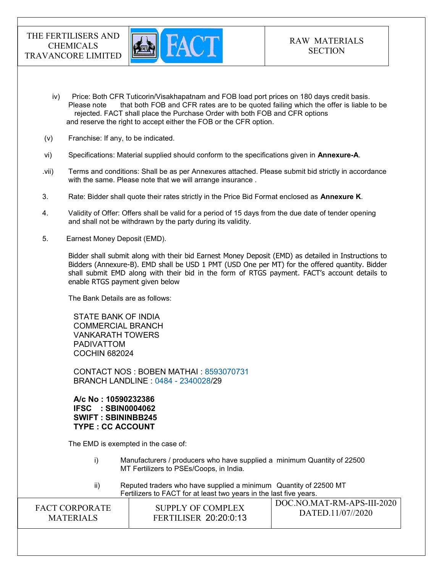

- iv) Price: Both CFR Tuticorin/Visakhapatnam and FOB load port prices on 180 days credit basis. Please note that both FOB and CFR rates are to be quoted failing which the offer is liable to be rejected. FACT shall place the Purchase Order with both FOB and CFR options and reserve the right to accept either the FOB or the CFR option.
- (v) Franchise: If any, to be indicated.
- vi) Specifications: Material supplied should conform to the specifications given in Annexure-A.
- .vii) Terms and conditions: Shall be as per Annexures attached. Please submit bid strictly in accordance with the same. Please note that we will arrange insurance .
- 3. Rate: Bidder shall quote their rates strictly in the Price Bid Format enclosed as **Annexure K**.
- 4. Validity of Offer: Offers shall be valid for a period of 15 days from the due date of tender opening and shall not be withdrawn by the party during its validity.
- 5. Earnest Money Deposit (EMD).

Bidder shall submit along with their bid Earnest Money Deposit (EMD) as detailed in Instructions to Bidders (Annexure-B). EMD shall be USD 1 PMT (USD One per MT) for the offered quantity. Bidder shall submit EMD along with their bid in the form of RTGS payment. FACT's account details to enable RTGS payment given below

The Bank Details are as follows:

STATE BANK OF INDIA COMMERCIAL BRANCH VANKARATH TOWERS PADIVATTOM COCHIN 682024

CONTACT NOS : BOBEN MATHAI : 8593070731 BRANCH LANDLINE : 0484 - 2340028/29

A/c No : 10590232386 IFSC : SBIN0004062 SWIFT : SBININBB245 TYPE : CC ACCOUNT

The EMD is exempted in the case of:

 i) Manufacturers / producers who have supplied a minimum Quantity of 22500 MT Fertilizers to PSEs/Coops, in India.

 ii) Reputed traders who have supplied a minimum Quantity of 22500 MT Fertilizers to FACT for at least two years in the last five years.

| <b>FACT CORPORATE</b> | SUPPLY OF COMPLEX            | DOC.NO.MAT-RM-APS-III-2020 |
|-----------------------|------------------------------|----------------------------|
| <b>MATERIALS</b>      | <b>FERTILISER 20:20:0:13</b> | DATED.11/07//2020          |
|                       |                              |                            |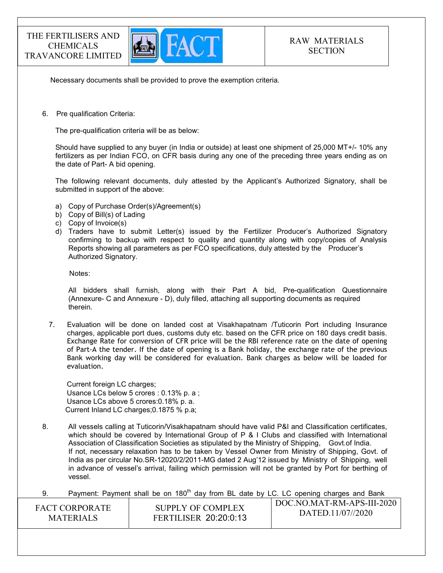

Necessary documents shall be provided to prove the exemption criteria.

6. Pre qualification Criteria:

The pre-qualification criteria will be as below:

Should have supplied to any buyer (in India or outside) at least one shipment of 25,000 MT+/- 10% any fertilizers as per Indian FCO, on CFR basis during any one of the preceding three years ending as on the date of Part- A bid opening.

The following relevant documents, duly attested by the Applicant's Authorized Signatory, shall be submitted in support of the above:

- a) Copy of Purchase Order(s)/Agreement(s)
- b) Copy of Bill(s) of Lading
- c) Copy of Invoice(s)
- d) Traders have to submit Letter(s) issued by the Fertilizer Producer's Authorized Signatory confirming to backup with respect to quality and quantity along with copy/copies of Analysis Reports showing all parameters as per FCO specifications, duly attested by the Producer's Authorized Signatory.

Notes:

 All bidders shall furnish, along with their Part A bid, Pre-qualification Questionnaire (Annexure- C and Annexure - D), duly filled, attaching all supporting documents as required therein.

7. Evaluation will be done on landed cost at Visakhapatnam /Tuticorin Port including Insurance charges, applicable port dues, customs duty etc. based on the CFR price on 180 days credit basis. Exchange Rate for conversion of CFR price will be the RBI reference rate on the date of opening of Part-A the tender. If the date of opening is a Bank holiday, the exchange rate of the previous Bank working day will be considered for evaluation. Bank charges as below will be loaded for evaluation.

Current foreign LC charges; Usance LCs below 5 crores : 0.13% p. a ; Usance LCs above 5 crores:0.18% p. a. Current Inland LC charges;0.1875 % p.a;

- 8. All vessels calling at Tuticorin/Visakhapatnam should have valid P&I and Classification certificates, which should be covered by International Group of P & I Clubs and classified with International Association of Classification Societies as stipulated by the Ministry of Shipping, Govt.of India. If not, necessary relaxation has to be taken by Vessel Owner from Ministry of Shipping, Govt. of India as per circular No.SR-12020/2/2011-MG dated 2 Aug'12 issued by Ministry of Shipping, well in advance of vessel's arrival, failing which permission will not be granted by Port for berthing of vessel.
- 9. Payment: Payment shall be on  $180<sup>th</sup>$  day from BL date by LC. LC opening charges and Bank

| <b>FACT CORPORATE</b> | SUPPLY OF COMPLEX            | DOC.NO.MAT-RM-APS-III-2020 |
|-----------------------|------------------------------|----------------------------|
| <b>MATERIALS</b>      | <b>FERTILISER 20:20:0:13</b> | DATED.11/07//2020          |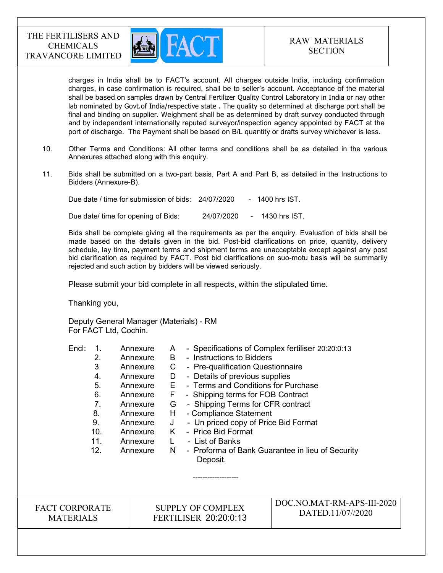

charges in India shall be to FACT's account. All charges outside India, including confirmation charges, in case confirmation is required, shall be to seller's account. Acceptance of the material shall be based on samples drawn by Central Fertilizer Quality Control Laboratory in India or nay other lab nominated by Govt.of India/respective state . The quality so determined at discharge port shall be final and binding on supplier. Weighment shall be as determined by draft survey conducted through and by independent internationally reputed surveyor/inspection agency appointed by FACT at the port of discharge. The Payment shall be based on B/L quantity or drafts survey whichever is less.

- 10. Other Terms and Conditions: All other terms and conditions shall be as detailed in the various Annexures attached along with this enquiry.
- 11. Bids shall be submitted on a two-part basis, Part A and Part B, as detailed in the Instructions to Bidders (Annexure-B).

Due date / time for submission of bids: 24/07/2020 - 1400 hrs IST.

Due date/ time for opening of Bids: 24/07/2020 - 1430 hrs IST.

 Bids shall be complete giving all the requirements as per the enquiry. Evaluation of bids shall be made based on the details given in the bid. Post-bid clarifications on price, quantity, delivery schedule, lay time, payment terms and shipment terms are unacceptable except against any post bid clarification as required by FACT. Post bid clarifications on suo-motu basis will be summarily rejected and such action by bidders will be viewed seriously.

Please submit your bid complete in all respects, within the stipulated time.

Thanking you,

Deputy General Manager (Materials) - RM For FACT Ltd, Cochin.

| Encl: |     | Annexure | A  | - Specifications of Complex fertiliser 20:20:0:13 |
|-------|-----|----------|----|---------------------------------------------------|
|       | 2.  | Annexure | B. | - Instructions to Bidders                         |
|       | 3   | Annexure | C  | - Pre-qualification Questionnaire                 |
|       | 4.  | Annexure | D  | - Details of previous supplies                    |
|       | 5.  | Annexure | E. | - Terms and Conditions for Purchase               |
|       | 6.  | Annexure | F. | - Shipping terms for FOB Contract                 |
|       | 7.  | Annexure | G  | - Shipping Terms for CFR contract                 |
|       | 8.  | Annexure | H. | - Compliance Statement                            |
|       | 9.  | Annexure | J  | - Un priced copy of Price Bid Format              |
|       | 10. | Annexure | K  | - Price Bid Format                                |
|       | 11. | Annexure | L. | - List of Banks                                   |
|       | 12. | Annexure | N. | - Proforma of Bank Guarantee in lieu of Security  |
|       |     |          |    | Deposit.                                          |
|       |     |          |    |                                                   |
|       |     |          |    |                                                   |
|       |     |          |    |                                                   |

FACT CORPORATE MATERIALS

SUPPLY OF COMPLEX FERTILISER 20:20:0:13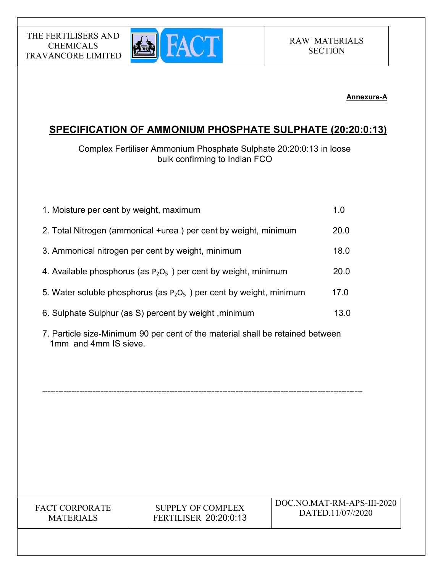

## Annexure-A

# SPECIFICATION OF AMMONIUM PHOSPHATE SULPHATE (20:20:0:13)

Complex Fertiliser Ammonium Phosphate Sulphate 20:20:0:13 in loose bulk confirming to Indian FCO

| 1. Moisture per cent by weight, maximum                                | 1.0  |
|------------------------------------------------------------------------|------|
| 2. Total Nitrogen (ammonical +urea) per cent by weight, minimum        | 20.0 |
| 3. Ammonical nitrogen per cent by weight, minimum                      | 18.0 |
| 4. Available phosphorus (as $P_2O_5$ ) per cent by weight, minimum     | 20.0 |
| 5. Water soluble phosphorus (as $P_2O_5$ ) per cent by weight, minimum | 17.0 |
| 6. Sulphate Sulphur (as S) percent by weight, minimum                  | 13.0 |
|                                                                        |      |

7. Particle size-Minimum 90 per cent of the material shall be retained between 1mm and 4mm IS sieve.

-------------------------------------------------------------------------------------------------------------------------

FACT CORPORATE MATERIALS

THE FERTILISERS AND CHEMICALS TRAVANCORE LIMITED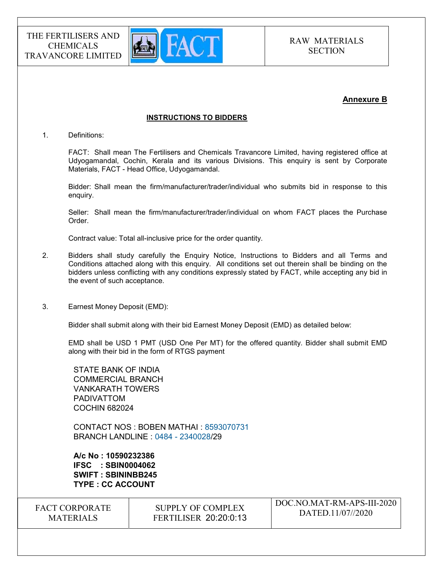

## Annexure B

### INSTRUCTIONS TO BIDDERS

1. Definitions:

FACT: Shall mean The Fertilisers and Chemicals Travancore Limited, having registered office at Udyogamandal, Cochin, Kerala and its various Divisions. This enquiry is sent by Corporate Materials, FACT - Head Office, Udyogamandal.

Bidder: Shall mean the firm/manufacturer/trader/individual who submits bid in response to this enquiry.

Seller: Shall mean the firm/manufacturer/trader/individual on whom FACT places the Purchase Order.

Contract value: Total all-inclusive price for the order quantity.

- 2. Bidders shall study carefully the Enquiry Notice, Instructions to Bidders and all Terms and Conditions attached along with this enquiry. All conditions set out therein shall be binding on the bidders unless conflicting with any conditions expressly stated by FACT, while accepting any bid in the event of such acceptance.
- 3. Earnest Money Deposit (EMD):

Bidder shall submit along with their bid Earnest Money Deposit (EMD) as detailed below:

EMD shall be USD 1 PMT (USD One Per MT) for the offered quantity. Bidder shall submit EMD along with their bid in the form of RTGS payment

STATE BANK OF INDIA COMMERCIAL BRANCH VANKARATH TOWERS PADIVATTOM COCHIN 682024

CONTACT NOS : BOBEN MATHAI : 8593070731 BRANCH LANDLINE : 0484 - 2340028/29

A/c No : 10590232386 IFSC : SBIN0004062 SWIFT : SBININBB245 TYPE : CC ACCOUNT

| <b>FACT CORPORATE</b> | SUPPLY OF COMPLEX            | DOC.NO.MAT-RM-APS-III-2020 |
|-----------------------|------------------------------|----------------------------|
| <b>MATERIALS</b>      | <b>FERTILISER 20:20:0:13</b> | DATED.11/07//2020          |
|                       |                              |                            |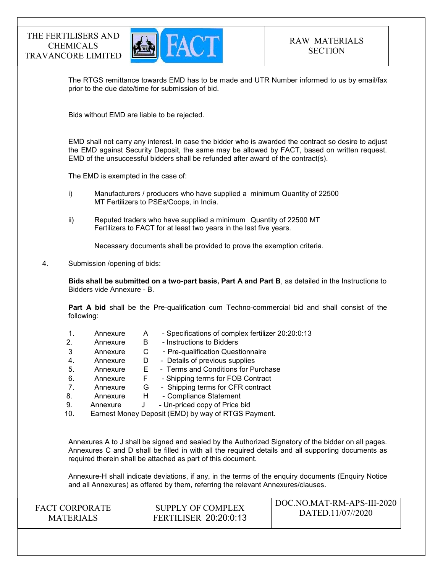

The RTGS remittance towards EMD has to be made and UTR Number informed to us by email/fax prior to the due date/time for submission of bid.

Bids without EMD are liable to be rejected.

EMD shall not carry any interest. In case the bidder who is awarded the contract so desire to adjust the EMD against Security Deposit, the same may be allowed by FACT, based on written request. EMD of the unsuccessful bidders shall be refunded after award of the contract(s).

The EMD is exempted in the case of:

- i) Manufacturers / producers who have supplied a minimum Quantity of 22500 MT Fertilizers to PSEs/Coops, in India.
- ii) Reputed traders who have supplied a minimum Quantity of 22500 MT Fertilizers to FACT for at least two years in the last five years.

Necessary documents shall be provided to prove the exemption criteria.

4. Submission /opening of bids:

Bids shall be submitted on a two-part basis, Part A and Part B, as detailed in the Instructions to Bidders vide Annexure - B.

Part A bid shall be the Pre-qualification cum Techno-commercial bid and shall consist of the following:

- 1. Annexure A Specifications of complex fertilizer 20:20:0:13 2. Annexure B - Instructions to Bidders 3 Annexure C - Pre-qualification Questionnaire 4. Annexure D - Details of previous supplies 5. Annexure E - Terms and Conditions for Purchase 6. Annexure F - Shipping terms for FOB Contract 7. Annexure G - Shipping terms for CFR contract 8. Annexure H - Compliance Statement 9. Annexure J - Un-priced copy of Price bid
- 10. Earnest Money Deposit (EMD) by way of RTGS Payment.

Annexures A to J shall be signed and sealed by the Authorized Signatory of the bidder on all pages. Annexures C and D shall be filled in with all the required details and all supporting documents as required therein shall be attached as part of this document.

Annexure-H shall indicate deviations, if any, in the terms of the enquiry documents (Enquiry Notice and all Annexures) as offered by them, referring the relevant Annexures/clauses.

FACT CORPORATE **MATERIALS** SUPPLY OF COMPLEX FERTILISER 20:20:0:13 DOC.NO.MAT-RM-APS-III-2020 DATED.11/07//2020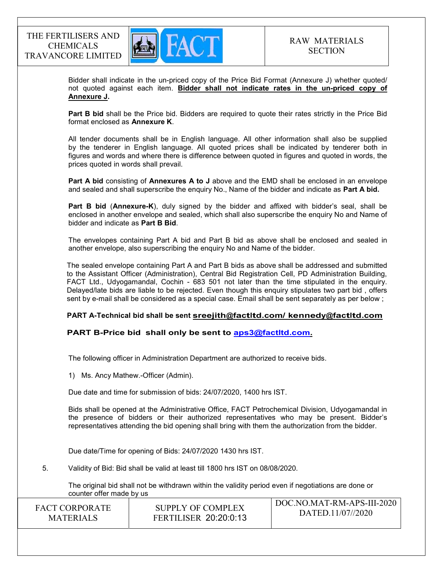

Bidder shall indicate in the un-priced copy of the Price Bid Format (Annexure J) whether quoted/ not quoted against each item. Bidder shall not indicate rates in the un-priced copy of Annexure J.

Part B bid shall be the Price bid. Bidders are required to quote their rates strictly in the Price Bid format enclosed as Annexure K.

 All tender documents shall be in English language. All other information shall also be supplied by the tenderer in English language. All quoted prices shall be indicated by tenderer both in figures and words and where there is difference between quoted in figures and quoted in words, the prices quoted in words shall prevail.

Part A bid consisting of Annexures A to J above and the EMD shall be enclosed in an envelope and sealed and shall superscribe the enquiry No., Name of the bidder and indicate as Part A bid.

Part B bid (Annexure-K), duly signed by the bidder and affixed with bidder's seal, shall be enclosed in another envelope and sealed, which shall also superscribe the enquiry No and Name of bidder and indicate as Part B Bid.

The envelopes containing Part A bid and Part B bid as above shall be enclosed and sealed in another envelope, also superscribing the enquiry No and Name of the bidder.

The sealed envelope containing Part A and Part B bids as above shall be addressed and submitted to the Assistant Officer (Administration), Central Bid Registration Cell, PD Administration Building, FACT Ltd., Udyogamandal, Cochin - 683 501 not later than the time stipulated in the enquiry. Delayed/late bids are liable to be rejected. Even though this enquiry stipulates two part bid , offers sent by e-mail shall be considered as a special case. Email shall be sent separately as per below ;

### PART A-Technical bid shall be sent sreejith@factltd.com/ kennedy@factltd.com

### PART B-Price bid shall only be sent to aps3@factltd.com.

The following officer in Administration Department are authorized to receive bids.

1) Ms. Ancy Mathew.-Officer (Admin).

Due date and time for submission of bids: 24/07/2020, 1400 hrs IST.

Bids shall be opened at the Administrative Office, FACT Petrochemical Division, Udyogamandal in the presence of bidders or their authorized representatives who may be present. Bidder's representatives attending the bid opening shall bring with them the authorization from the bidder.

Due date/Time for opening of Bids: 24/07/2020 1430 hrs IST.

5. Validity of Bid: Bid shall be valid at least till 1800 hrs IST on 08/08/2020.

The original bid shall not be withdrawn within the validity period even if negotiations are done or counter offer made by us

| <b>FACT CORPORATE</b> | SUPPLY OF COMPLEX            | DOC.NO.MAT-RM-APS-III-2020 |
|-----------------------|------------------------------|----------------------------|
| <b>MATERIALS</b>      | <b>FERTILISER 20:20:0:13</b> | DATED.11/07//2020          |
|                       |                              |                            |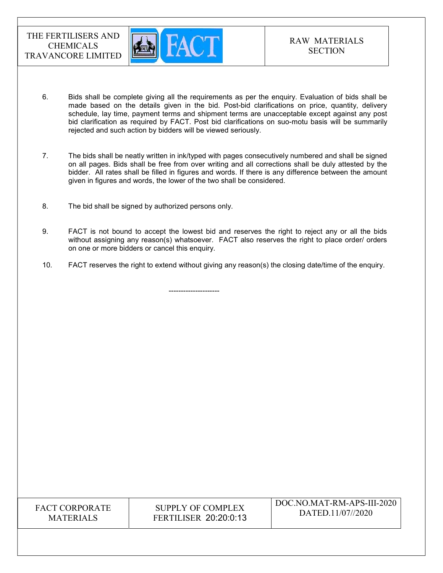

- 6. Bids shall be complete giving all the requirements as per the enquiry. Evaluation of bids shall be made based on the details given in the bid. Post-bid clarifications on price, quantity, delivery schedule, lay time, payment terms and shipment terms are unacceptable except against any post bid clarification as required by FACT. Post bid clarifications on suo-motu basis will be summarily rejected and such action by bidders will be viewed seriously.
- 7. The bids shall be neatly written in ink/typed with pages consecutively numbered and shall be signed on all pages. Bids shall be free from over writing and all corrections shall be duly attested by the bidder. All rates shall be filled in figures and words. If there is any difference between the amount given in figures and words, the lower of the two shall be considered.
- 8. The bid shall be signed by authorized persons only.

---------------------

- 9. FACT is not bound to accept the lowest bid and reserves the right to reject any or all the bids without assigning any reason(s) whatsoever. FACT also reserves the right to place order/ orders on one or more bidders or cancel this enquiry.
- 10. FACT reserves the right to extend without giving any reason(s) the closing date/time of the enquiry.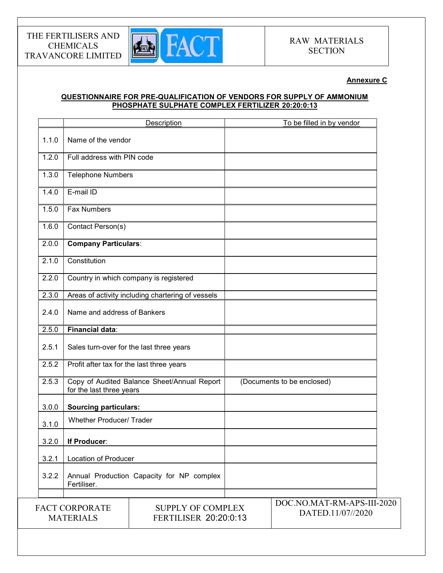

## Annexure C

## QUESTIONNAIRE FOR PRE-QUALIFICATION OF VENDORS FOR SUPPLY OF AMMONIUM PHOSPHATE SULPHATE COMPLEX FERTILIZER 20:20:0:13

|       |                                           | Description                                       | To be filled in by vendor                       |
|-------|-------------------------------------------|---------------------------------------------------|-------------------------------------------------|
| 1.1.0 | Name of the vendor                        |                                                   |                                                 |
| 1.2.0 | Full address with PIN code                |                                                   |                                                 |
| 1.3.0 | <b>Telephone Numbers</b>                  |                                                   |                                                 |
| 1.4.0 | E-mail ID                                 |                                                   |                                                 |
| 1.5.0 | <b>Fax Numbers</b>                        |                                                   |                                                 |
| 1.6.0 | Contact Person(s)                         |                                                   |                                                 |
| 2.0.0 | <b>Company Particulars:</b>               |                                                   |                                                 |
| 2.1.0 | Constitution                              |                                                   |                                                 |
| 2.2.0 |                                           | Country in which company is registered            |                                                 |
| 2.3.0 |                                           | Areas of activity including chartering of vessels |                                                 |
| 2.4.0 | Name and address of Bankers               |                                                   |                                                 |
| 2.5.0 | Financial data:                           |                                                   |                                                 |
| 2.5.1 | Sales turn-over for the last three years  |                                                   |                                                 |
| 2.5.2 | Profit after tax for the last three years |                                                   |                                                 |
| 2.5.3 | for the last three years                  | Copy of Audited Balance Sheet/Annual Report       | (Documents to be enclosed)                      |
| 3.0.0 | <b>Sourcing particulars:</b>              |                                                   |                                                 |
| 3.1.0 | <b>Whether Producer/ Trader</b>           |                                                   |                                                 |
| 3.2.0 | If Producer:                              |                                                   |                                                 |
| 3.2.1 | Location of Producer                      |                                                   |                                                 |
| 3.2.2 | Fertiliser.                               | Annual Production Capacity for NP complex         |                                                 |
|       |                                           |                                                   |                                                 |
|       | <b>FACT CORPORATE</b><br><b>MATERIALS</b> | <b>SUPPLY OF COMPLEX</b><br>FERTILISER 20:20:0:13 | DOC.NO.MAT-RM-APS-III-2020<br>DATED.11/07//2020 |
|       |                                           |                                                   |                                                 |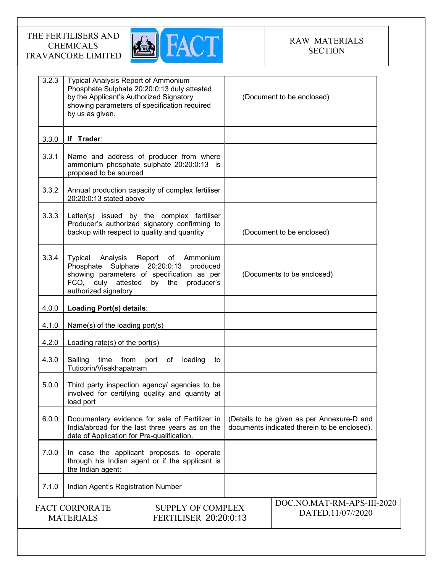

| 3.2.3 | <b>Typical Analysis Report of Ammonium</b><br>by us as given.                                             | Phosphate Sulphate 20:20:0:13 duly attested<br>by the Applicant's Authorized Signatory<br>showing parameters of specification required          | (Document to be enclosed)                                                                  |
|-------|-----------------------------------------------------------------------------------------------------------|-------------------------------------------------------------------------------------------------------------------------------------------------|--------------------------------------------------------------------------------------------|
| 3.3.0 | If Trader:                                                                                                |                                                                                                                                                 |                                                                                            |
| 3.3.1 | proposed to be sourced                                                                                    | Name and address of producer from where<br>ammonium phosphate sulphate 20:20:0:13 is                                                            |                                                                                            |
| 3.3.2 | 20:20:0:13 stated above                                                                                   | Annual production capacity of complex fertiliser                                                                                                |                                                                                            |
| 3.3.3 |                                                                                                           | Letter(s) issued by the complex fertiliser<br>Producer's authorized signatory confirming to<br>backup with respect to quality and quantity      | (Document to be enclosed)                                                                  |
| 3.3.4 | Typical<br>Analysis<br>Phosphate Sulphate 20:20:0:13<br>FCO, duly attested by the<br>authorized signatory | Report of Ammonium<br>produced<br>showing parameters of specification as per<br>producer's                                                      | (Documents to be enclosed)                                                                 |
| 4.0.0 | Loading Port(s) details:                                                                                  |                                                                                                                                                 |                                                                                            |
| 4.1.0 | Name(s) of the loading port(s)                                                                            |                                                                                                                                                 |                                                                                            |
| 4.2.0 | Loading rate(s) of the port(s)                                                                            |                                                                                                                                                 |                                                                                            |
| 4.3.0 | Sailing<br>time from<br>Tuticorin/Visakhapatnam                                                           | port of<br>loading<br>to                                                                                                                        |                                                                                            |
| 5.0.0 | load port                                                                                                 | Third party inspection agency/ agencies to be<br>involved for certifying quality and quantity at                                                |                                                                                            |
| 6.0.0 |                                                                                                           | Documentary evidence for sale of Fertilizer in<br>India/abroad for the last three years as on the<br>date of Application for Pre-qualification. | (Details to be given as per Annexure-D and<br>documents indicated therein to be enclosed). |
| 7.0.0 | the Indian agent:                                                                                         | In case the applicant proposes to operate<br>through his Indian agent or if the applicant is                                                    |                                                                                            |
| 7.1.0 | Indian Agent's Registration Number                                                                        |                                                                                                                                                 |                                                                                            |
|       | <b>FACT CORPORATE</b><br><b>MATERIALS</b>                                                                 | <b>SUPPLY OF COMPLEX</b><br><b>FERTILISER 20:20:0:13</b>                                                                                        | DOC.NO.MAT-RM-APS-III-2020<br>DATED.11/07//2020                                            |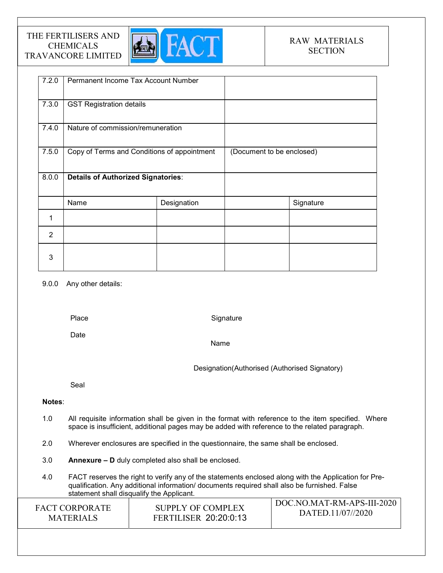

| 7.2.0          | Permanent Income Tax Account Number         |             |                           |           |
|----------------|---------------------------------------------|-------------|---------------------------|-----------|
| 7.3.0          | <b>GST Registration details</b>             |             |                           |           |
| 7.4.0          | Nature of commission/remuneration           |             |                           |           |
| 7.5.0          | Copy of Terms and Conditions of appointment |             | (Document to be enclosed) |           |
| 8.0.0          | <b>Details of Authorized Signatories:</b>   |             |                           |           |
|                | Name                                        | Designation |                           | Signature |
| 1              |                                             |             |                           |           |
| $\overline{2}$ |                                             |             |                           |           |
| 3              |                                             |             |                           |           |

### 9.0.0 Any other details:

Place

**Signature** 

Date

Name

Designation(Authorised (Authorised Signatory)

Seal

## Notes:

- 1.0 All requisite information shall be given in the format with reference to the item specified. Where space is insufficient, additional pages may be added with reference to the related paragraph.
- 2.0 Wherever enclosures are specified in the questionnaire, the same shall be enclosed.
- 3.0 Annexure D duly completed also shall be enclosed.
- 4.0 FACT reserves the right to verify any of the statements enclosed along with the Application for Prequalification. Any additional information/ documents required shall also be furnished. False statement shall disqualify the Applicant.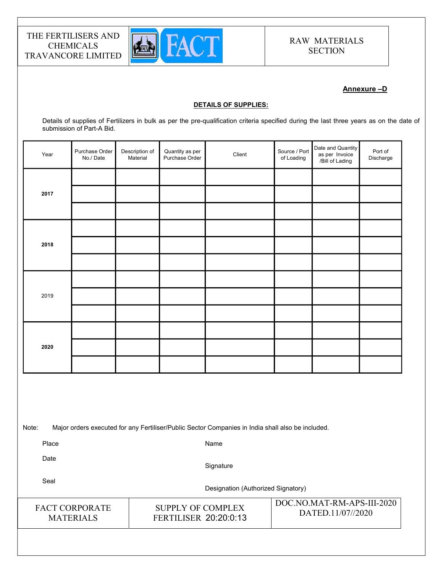

## Annexure –D

#### DETAILS OF SUPPLIES:

Details of supplies of Fertilizers in bulk as per the pre-qualification criteria specified during the last three years as on the date of submission of Part-A Bid.

| Year | Purchase Order<br>No./Date | Description of<br>Material | Quantity as per<br>Purchase Order | Client | Source / Port<br>of Loading | Date and Quantity<br>as per Invoice | Port of<br>Discharge |  |
|------|----------------------------|----------------------------|-----------------------------------|--------|-----------------------------|-------------------------------------|----------------------|--|
|      |                            |                            |                                   |        |                             |                                     |                      |  |
| 2017 |                            |                            |                                   |        |                             |                                     |                      |  |
|      |                            |                            |                                   |        |                             |                                     |                      |  |
|      |                            |                            |                                   |        |                             |                                     |                      |  |
| 2018 |                            |                            |                                   |        |                             |                                     |                      |  |
|      |                            |                            |                                   |        |                             |                                     |                      |  |
|      |                            |                            |                                   |        |                             |                                     |                      |  |
| 2019 |                            |                            |                                   |        |                             |                                     |                      |  |
|      |                            |                            |                                   |        |                             |                                     |                      |  |
|      |                            |                            |                                   |        |                             |                                     |                      |  |
| 2020 |                            |                            |                                   |        |                             |                                     |                      |  |
|      |                            |                            |                                   |        |                             |                                     |                      |  |
|      |                            |                            |                                   |        |                             |                                     |                      |  |
|      |                            |                            |                                   |        |                             |                                     |                      |  |

Note: Major orders executed for any Fertiliser/Public Sector Companies in India shall also be included.

Place

Name

Date

**Signature** 

Seal

Designation (Authorized Signatory)

FACT CORPORATE MATERIALS

SUPPLY OF COMPLEX FERTILISER 20:20:0:13

DOC.NO.MAT-RM-APS-III-2020 DATED.11/07//2020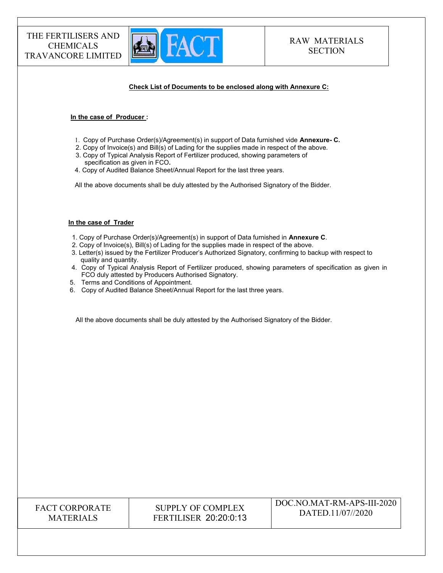

#### Check List of Documents to be enclosed along with Annexure C:

#### In the case of Producer :

- 1. Copy of Purchase Order(s)/Agreement(s) in support of Data furnished vide Annexure- C.
- 2. Copy of Invoice(s) and Bill(s) of Lading for the supplies made in respect of the above.
- 3. Copy of Typical Analysis Report of Fertilizer produced, showing parameters of specification as given in FCO.
- 4. Copy of Audited Balance Sheet/Annual Report for the last three years.

All the above documents shall be duly attested by the Authorised Signatory of the Bidder.

#### In the case of Trader

- 1. Copy of Purchase Order(s)/Agreement(s) in support of Data furnished in Annexure C.
- 2. Copy of Invoice(s), Bill(s) of Lading for the supplies made in respect of the above.
- 3. Letter(s) issued by the Fertilizer Producer's Authorized Signatory, confirming to backup with respect to quality and quantity.
- 4. Copy of Typical Analysis Report of Fertilizer produced, showing parameters of specification as given in FCO duly attested by Producers Authorised Signatory.
- 5. Terms and Conditions of Appointment.
- 6. Copy of Audited Balance Sheet/Annual Report for the last three years.

All the above documents shall be duly attested by the Authorised Signatory of the Bidder.

| <b>FACT CORPORATE</b> |
|-----------------------|
| <b>MATERIALS</b>      |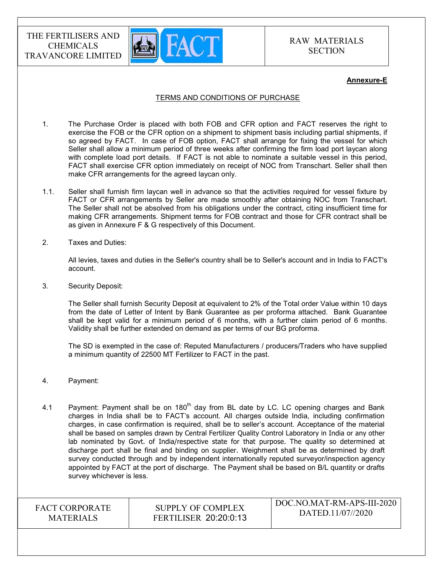

#### Annexure-E

#### TERMS AND CONDITIONS OF PURCHASE

- 1. The Purchase Order is placed with both FOB and CFR option and FACT reserves the right to exercise the FOB or the CFR option on a shipment to shipment basis including partial shipments, if so agreed by FACT. In case of FOB option, FACT shall arrange for fixing the vessel for which Seller shall allow a minimum period of three weeks after confirming the firm load port laycan along with complete load port details. If FACT is not able to nominate a suitable vessel in this period, FACT shall exercise CFR option immediately on receipt of NOC from Transchart. Seller shall then make CFR arrangements for the agreed laycan only.
- 1.1. Seller shall furnish firm laycan well in advance so that the activities required for vessel fixture by FACT or CFR arrangements by Seller are made smoothly after obtaining NOC from Transchart. The Seller shall not be absolved from his obligations under the contract, citing insufficient time for making CFR arrangements. Shipment terms for FOB contract and those for CFR contract shall be as given in Annexure F & G respectively of this Document.
- 2. Taxes and Duties:

All levies, taxes and duties in the Seller's country shall be to Seller's account and in India to FACT's account.

3. Security Deposit:

The Seller shall furnish Security Deposit at equivalent to 2% of the Total order Value within 10 days from the date of Letter of Intent by Bank Guarantee as per proforma attached. Bank Guarantee shall be kept valid for a minimum period of 6 months, with a further claim period of 6 months. Validity shall be further extended on demand as per terms of our BG proforma.

The SD is exempted in the case of: Reputed Manufacturers / producers/Traders who have supplied a minimum quantity of 22500 MT Fertilizer to FACT in the past.

- 4. Payment:
- 4.1 Payment: Payment shall be on 180<sup>th</sup> day from BL date by LC. LC opening charges and Bank charges in India shall be to FACT's account. All charges outside India, including confirmation charges, in case confirmation is required, shall be to seller's account. Acceptance of the material shall be based on samples drawn by Central Fertilizer Quality Control Laboratory in India or any other lab nominated by Govt. of India/respective state for that purpose. The quality so determined at discharge port shall be final and binding on supplier. Weighment shall be as determined by draft survey conducted through and by independent internationally reputed surveyor/inspection agency appointed by FACT at the port of discharge. The Payment shall be based on B/L quantity or drafts survey whichever is less.

FACT CORPORATE MATERIALS

SUPPLY OF COMPLEX FERTILISER 20:20:0:13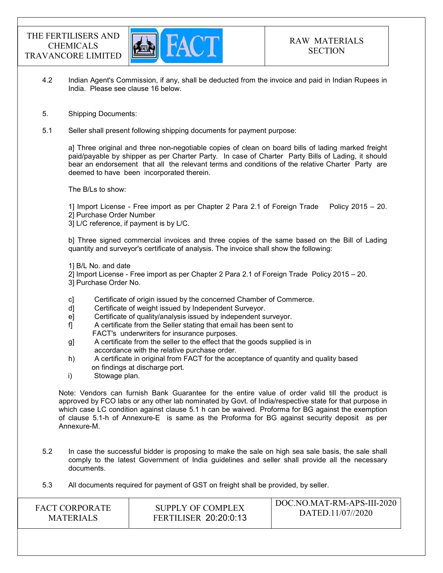

- 4.2 Indian Agent's Commission, if any, shall be deducted from the invoice and paid in Indian Rupees in India. Please see clause 16 below.
- 5. Shipping Documents:
- 5.1 Seller shall present following shipping documents for payment purpose:

a] Three original and three non-negotiable copies of clean on board bills of lading marked freight paid/payable by shipper as per Charter Party. In case of Charter Party Bills of Lading, it should bear an endorsement that all the relevant terms and conditions of the relative Charter Party are deemed to have been incorporated therein.

The B/Ls to show:

1] Import License - Free import as per Chapter 2 Para 2.1 of Foreign Trade Policy 2015 – 20. 2] Purchase Order Number

3] L/C reference, if payment is by L/C.

b] Three signed commercial invoices and three copies of the same based on the Bill of Lading quantity and surveyor's certificate of analysis. The invoice shall show the following:

1] B/L No. and date

2] Import License - Free import as per Chapter 2 Para 2.1 of Foreign Trade Policy 2015 – 20.

- 3] Purchase Order No.
- c] Certificate of origin issued by the concerned Chamber of Commerce.
- d] Certificate of weight issued by Independent Surveyor.
- e] Certificate of quality/analysis issued by independent surveyor.
- f] A certificate from the Seller stating that email has been sent to FACT's underwriters for insurance purposes.
- g] A certificate from the seller to the effect that the goods supplied is in accordance with the relative purchase order.
- h) A certificate in original from FACT for the acceptance of quantity and quality based on findings at discharge port.
- i) Stowage plan.

Note: Vendors can furnish Bank Guarantee for the entire value of order valid till the product is approved by FCO labs or any other lab nominated by Govt. of India/respective state for that purpose in which case LC condition against clause 5.1 h can be waived. Proforma for BG against the exemption of clause 5.1-h of Annexure-E is same as the Proforma for BG against security deposit as per Annexure-M.

- 5.2 In case the successful bidder is proposing to make the sale on high sea sale basis, the sale shall comply to the latest Government of India guidelines and seller shall provide all the necessary documents.
- 5.3 All documents required for payment of GST on freight shall be provided, by seller.

| <b>FACT CORPORATE</b> | SUPPLY OF COMPLEX            | DOC.NO.MAT-RM-APS-III-2020 |
|-----------------------|------------------------------|----------------------------|
| <b>MATERIALS</b>      | <b>FERTILISER 20:20:0:13</b> | DATED.11/07//2020          |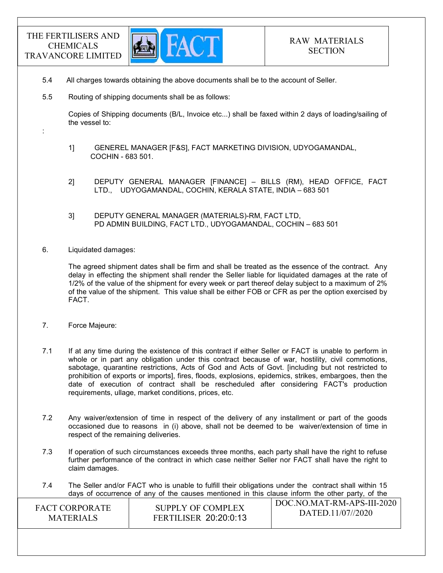:



- 5.4 All charges towards obtaining the above documents shall be to the account of Seller.
- 5.5 Routing of shipping documents shall be as follows:

 Copies of Shipping documents (B/L, Invoice etc...) shall be faxed within 2 days of loading/sailing of the vessel to:

- 1] GENEREL MANAGER [F&S], FACT MARKETING DIVISION, UDYOGAMANDAL, COCHIN - 683 501.
- 2] DEPUTY GENERAL MANAGER [FINANCE] BILLS (RM), HEAD OFFICE, FACT LTD., UDYOGAMANDAL, COCHIN, KERALA STATE, INDIA – 683 501
- 3] DEPUTY GENERAL MANAGER (MATERIALS)-RM, FACT LTD, PD ADMIN BUILDING, FACT LTD., UDYOGAMANDAL, COCHIN – 683 501
- 6. Liquidated damages:

The agreed shipment dates shall be firm and shall be treated as the essence of the contract. Any delay in effecting the shipment shall render the Seller liable for liquidated damages at the rate of 1/2% of the value of the shipment for every week or part thereof delay subject to a maximum of 2% of the value of the shipment. This value shall be either FOB or CFR as per the option exercised by FACT.

- 7. Force Majeure:
- 7.1 If at any time during the existence of this contract if either Seller or FACT is unable to perform in whole or in part any obligation under this contract because of war, hostility, civil commotions, sabotage, quarantine restrictions, Acts of God and Acts of Govt. [including but not restricted to prohibition of exports or imports], fires, floods, explosions, epidemics, strikes, embargoes, then the date of execution of contract shall be rescheduled after considering FACT's production requirements, ullage, market conditions, prices, etc.
- 7.2 Any waiver/extension of time in respect of the delivery of any installment or part of the goods occasioned due to reasons in (i) above, shall not be deemed to be waiver/extension of time in respect of the remaining deliveries.
- 7.3 If operation of such circumstances exceeds three months, each party shall have the right to refuse further performance of the contract in which case neither Seller nor FACT shall have the right to claim damages.
- DOC.NO.MAT-RM-APS-III-2020 7.4 The Seller and/or FACT who is unable to fulfill their obligations under the contract shall within 15 days of occurrence of any of the causes mentioned in this clause inform the other party, of the

| <b>FACT CORPORATE</b> | SUPPLY OF COMPLEX            | DOC.NO.MAT-RM-APS-III-2020 |
|-----------------------|------------------------------|----------------------------|
| <b>MATERIALS</b>      | <b>FERTILISER 20:20:0:13</b> | DATED.11/07//2020          |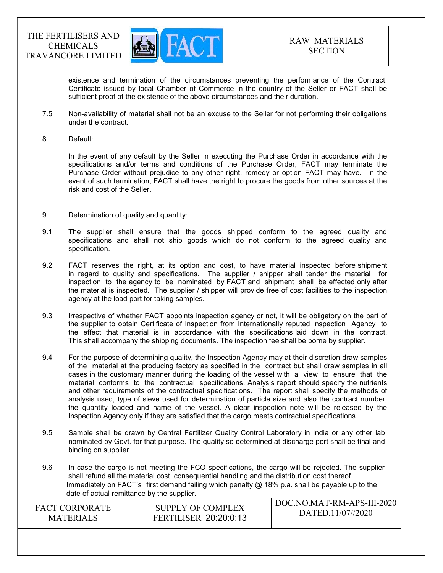

existence and termination of the circumstances preventing the performance of the Contract. Certificate issued by local Chamber of Commerce in the country of the Seller or FACT shall be sufficient proof of the existence of the above circumstances and their duration.

- 7.5 Non-availability of material shall not be an excuse to the Seller for not performing their obligations under the contract.
- 8. Default:

In the event of any default by the Seller in executing the Purchase Order in accordance with the specifications and/or terms and conditions of the Purchase Order, FACT may terminate the Purchase Order without prejudice to any other right, remedy or option FACT may have. In the event of such termination, FACT shall have the right to procure the goods from other sources at the risk and cost of the Seller.

- 9. Determination of quality and quantity:
- 9.1 The supplier shall ensure that the goods shipped conform to the agreed quality and specifications and shall not ship goods which do not conform to the agreed quality and specification.
- 9.2 FACT reserves the right, at its option and cost, to have material inspected before shipment in regard to quality and specifications. The supplier / shipper shall tender the material for inspection to the agency to be nominated by FACT and shipment shall be effected only after the material is inspected. The supplier / shipper will provide free of cost facilities to the inspection agency at the load port for taking samples.
- 9.3 Irrespective of whether FACT appoints inspection agency or not, it will be obligatory on the part of the supplier to obtain Certificate of Inspection from Internationally reputed Inspection Agency to the effect that material is in accordance with the specifications laid down in the contract. This shall accompany the shipping documents. The inspection fee shall be borne by supplier.
- 9.4 For the purpose of determining quality, the Inspection Agency may at their discretion draw samples of the material at the producing factory as specified in the contract but shall draw samples in all cases in the customary manner during the loading of the vessel with a view to ensure that the material conforms to the contractual specifications. Analysis report should specify the nutrients and other requirements of the contractual specifications. The report shall specify the methods of analysis used, type of sieve used for determination of particle size and also the contract number, the quantity loaded and name of the vessel. A clear inspection note will be released by the Inspection Agency only if they are satisfied that the cargo meets contractual specifications.
- 9.5 Sample shall be drawn by Central Fertilizer Quality Control Laboratory in India or any other lab nominated by Govt. for that purpose. The quality so determined at discharge port shall be final and binding on supplier.
- 9.6 In case the cargo is not meeting the FCO specifications, the cargo will be rejected. The supplier shall refund all the material cost, consequential handling and the distribution cost thereof Immediately on FACT's first demand failing which penalty  $@$  18% p.a. shall be payable up to the date of actual remittance by the supplier.

| <b>FACT CORPORATE</b> | SUPPLY OF COMPLEX            | DOC.NO.MAT-RM-APS-III-2020 |
|-----------------------|------------------------------|----------------------------|
| <b>MATERIALS</b>      | <b>FERTILISER 20:20:0:13</b> | DATED.11/07//2020          |
|                       |                              |                            |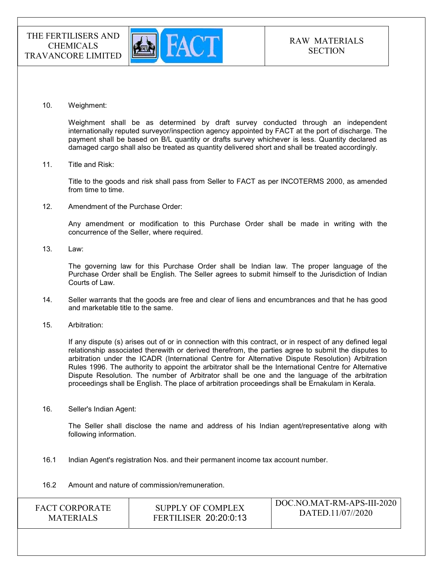

10. Weighment:

 Weighment shall be as determined by draft survey conducted through an independent internationally reputed surveyor/inspection agency appointed by FACT at the port of discharge. The payment shall be based on B/L quantity or drafts survey whichever is less. Quantity declared as damaged cargo shall also be treated as quantity delivered short and shall be treated accordingly.

11. Title and Risk:

Title to the goods and risk shall pass from Seller to FACT as per INCOTERMS 2000, as amended from time to time.

12. Amendment of the Purchase Order:

Any amendment or modification to this Purchase Order shall be made in writing with the concurrence of the Seller, where required.

13. Law:

The governing law for this Purchase Order shall be Indian law. The proper language of the Purchase Order shall be English. The Seller agrees to submit himself to the Jurisdiction of Indian Courts of Law.

- 14. Seller warrants that the goods are free and clear of liens and encumbrances and that he has good and marketable title to the same.
- 15. Arbitration:

If any dispute (s) arises out of or in connection with this contract, or in respect of any defined legal relationship associated therewith or derived therefrom, the parties agree to submit the disputes to arbitration under the ICADR (International Centre for Alternative Dispute Resolution) Arbitration Rules 1996. The authority to appoint the arbitrator shall be the International Centre for Alternative Dispute Resolution. The number of Arbitrator shall be one and the language of the arbitration proceedings shall be English. The place of arbitration proceedings shall be Ernakulam in Kerala.

16. Seller's Indian Agent:

The Seller shall disclose the name and address of his Indian agent/representative along with following information.

- 16.1 Indian Agent's registration Nos. and their permanent income tax account number.
- 16.2 Amount and nature of commission/remuneration.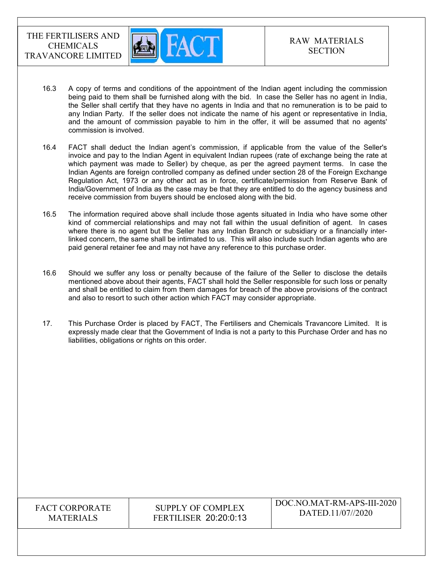

- 16.3 A copy of terms and conditions of the appointment of the Indian agent including the commission being paid to them shall be furnished along with the bid. In case the Seller has no agent in India, the Seller shall certify that they have no agents in India and that no remuneration is to be paid to any Indian Party. If the seller does not indicate the name of his agent or representative in India, and the amount of commission payable to him in the offer, it will be assumed that no agents' commission is involved.
- 16.4 FACT shall deduct the Indian agent's commission, if applicable from the value of the Seller's invoice and pay to the Indian Agent in equivalent Indian rupees (rate of exchange being the rate at which payment was made to Seller) by cheque, as per the agreed payment terms. In case the Indian Agents are foreign controlled company as defined under section 28 of the Foreign Exchange Regulation Act, 1973 or any other act as in force, certificate/permission from Reserve Bank of India/Government of India as the case may be that they are entitled to do the agency business and receive commission from buyers should be enclosed along with the bid.
- 16.5 The information required above shall include those agents situated in India who have some other kind of commercial relationships and may not fall within the usual definition of agent. In cases where there is no agent but the Seller has any Indian Branch or subsidiary or a financially interlinked concern, the same shall be intimated to us. This will also include such Indian agents who are paid general retainer fee and may not have any reference to this purchase order.
- 16.6 Should we suffer any loss or penalty because of the failure of the Seller to disclose the details mentioned above about their agents, FACT shall hold the Seller responsible for such loss or penalty and shall be entitled to claim from them damages for breach of the above provisions of the contract and also to resort to such other action which FACT may consider appropriate.
- 17. This Purchase Order is placed by FACT, The Fertilisers and Chemicals Travancore Limited. It is expressly made clear that the Government of India is not a party to this Purchase Order and has no liabilities, obligations or rights on this order.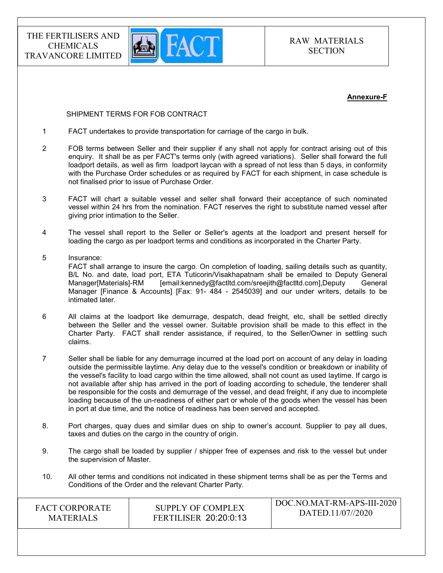

#### Annexure-F

#### SHIPMENT TERMS FOR FOB CONTRACT

- 1 FACT undertakes to provide transportation for carriage of the cargo in bulk.
- 2 FOB terms between Seller and their supplier if any shall not apply for contract arising out of this enquiry. It shall be as per FACT's terms only (with agreed variations). Seller shall forward the full loadport details, as well as firm loadport laycan with a spread of not less than 5 days, in conformity with the Purchase Order schedules or as required by FACT for each shipment, in case schedule is not finalised prior to issue of Purchase Order.
- 3 FACT will chart a suitable vessel and seller shall forward their acceptance of such nominated vessel within 24 hrs from the nomination. FACT reserves the right to substitute named vessel after giving prior intimation to the Seller.
- 4 The vessel shall report to the Seller or Seller's agents at the loadport and present herself for loading the cargo as per loadport terms and conditions as incorporated in the Charter Party.
- 5 Insurance: FACT shall arrange to insure the cargo. On completion of loading, sailing details such as quantity, B/L No. and date, load port, ETA Tuticorin/Visakhapatnam shall be emailed to Deputy General Manager[Materials]-RM [email:kennedy@factltd.com/sreejith@factltd.com],Deputy General Manager [Finance & Accounts] [Fax: 91- 484 - 2545039] and our under writers, details to be intimated later.
- 6 All claims at the loadport like demurrage, despatch, dead freight, etc, shall be settled directly between the Seller and the vessel owner. Suitable provision shall be made to this effect in the Charter Party. FACT shall render assistance, if required, to the Seller/Owner in settling such claims.
- 7 Seller shall be liable for any demurrage incurred at the load port on account of any delay in loading outside the permissible laytime. Any delay due to the vessel's condition or breakdown or inability of the vessel's facility to load cargo within the time allowed, shall not count as used laytime. If cargo is not available after ship has arrived in the port of loading according to schedule, the tenderer shall be responsible for the costs and demurrage of the vessel, and dead freight, if any due to incomplete loading because of the un-readiness of either part or whole of the goods when the vessel has been in port at due time, and the notice of readiness has been served and accepted.
- 8. Port charges, quay dues and similar dues on ship to owner's account. Supplier to pay all dues, taxes and duties on the cargo in the country of origin.
- 9. The cargo shall be loaded by supplier / shipper free of expenses and risk to the vessel but under the supervision of Master.
- 10. All other terms and conditions not indicated in these shipment terms shall be as per the Terms and Conditions of the Order and the relevant Charter Party.

| <b>FACT CORPORATE</b> | SUPPLY OF COMPLEX            | DOC.NO.MAT-RM-APS-III-2020 |
|-----------------------|------------------------------|----------------------------|
| <b>MATERIALS</b>      | <b>FERTILISER 20:20:0:13</b> | DATED.11/07//2020          |
|                       |                              |                            |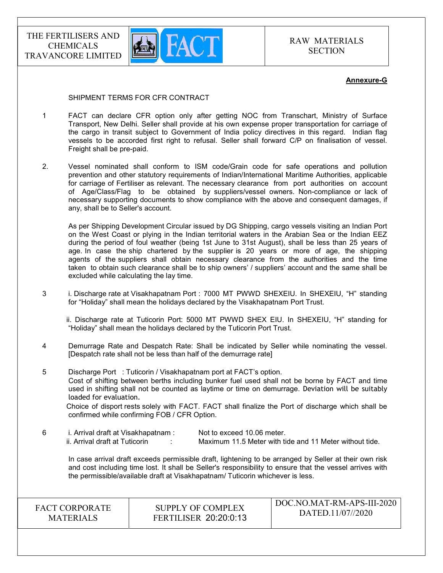

#### Annexure-G

#### SHIPMENT TERMS FOR CFR CONTRACT

- 1 FACT can declare CFR option only after getting NOC from Transchart, Ministry of Surface Transport, New Delhi. Seller shall provide at his own expense proper transportation for carriage of the cargo in transit subject to Government of India policy directives in this regard. Indian flag vessels to be accorded first right to refusal. Seller shall forward C/P on finalisation of vessel. Freight shall be pre-paid.
- 2. Vessel nominated shall conform to ISM code/Grain code for safe operations and pollution prevention and other statutory requirements of Indian/International Maritime Authorities, applicable for carriage of Fertiliser as relevant. The necessary clearance from port authorities on account of Age/Class/Flag to be obtained by suppliers/vessel owners. Non-compliance or lack of necessary supporting documents to show compliance with the above and consequent damages, if any, shall be to Seller's account.

 As per Shipping Development Circular issued by DG Shipping, cargo vessels visiting an Indian Port on the West Coast or plying in the Indian territorial waters in the Arabian Sea or the Indian EEZ during the period of foul weather (being 1st June to 31st August), shall be less than 25 years of age. In case the ship chartered by the supplier is 20 years or more of age, the shipping agents of the suppliers shall obtain necessary clearance from the authorities and the time taken to obtain such clearance shall be to ship owners' / suppliers' account and the same shall be excluded while calculating the lay time.

3 i. Discharge rate at Visakhapatnam Port : 7000 MT PWWD SHEXEIU. In SHEXEIU, "H" standing for "Holiday" shall mean the holidays declared by the Visakhapatnam Port Trust.

 ii. Discharge rate at Tuticorin Port: 5000 MT PWWD SHEX EIU. In SHEXEIU, "H" standing for "Holiday" shall mean the holidays declared by the Tuticorin Port Trust.

4 Demurrage Rate and Despatch Rate: Shall be indicated by Seller while nominating the vessel. [Despatch rate shall not be less than half of the demurrage rate]

5 Discharge Port : Tuticorin / Visakhapatnam port at FACT's option. Cost of shifting between berths including bunker fuel used shall not be borne by FACT and time used in shifting shall not be counted as laytime or time on demurrage. Deviation will be suitably loaded for evaluation.

 Choice of disport rests solely with FACT. FACT shall finalize the Port of discharge which shall be confirmed while confirming FOB / CFR Option.

6 i. Arrival draft at Visakhapatnam : Not to exceed 10.06 meter. ii. Arrival draft at Tuticorin : Maximum 11.5 Meter with tide and 11 Meter without tide.

 In case arrival draft exceeds permissible draft, lightening to be arranged by Seller at their own risk and cost including time lost. It shall be Seller's responsibility to ensure that the vessel arrives with the permissible/available draft at Visakhapatnam/ Tuticorin whichever is less.

FACT CORPORATE MATERIALS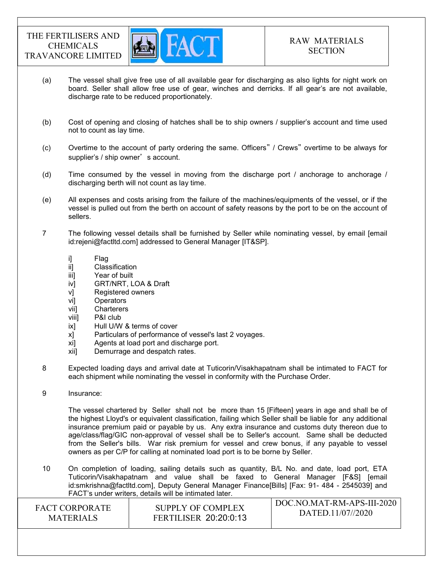

- (a) The vessel shall give free use of all available gear for discharging as also lights for night work on board. Seller shall allow free use of gear, winches and derricks. If all gear's are not available, discharge rate to be reduced proportionately.
- (b) Cost of opening and closing of hatches shall be to ship owners / supplier's account and time used not to count as lay time.
- (c) Overtime to the account of party ordering the same. Officers" / Crews" overtime to be always for supplier's / ship owner's account.
- (d) Time consumed by the vessel in moving from the discharge port / anchorage to anchorage / discharging berth will not count as lay time.
- (e) All expenses and costs arising from the failure of the machines/equipments of the vessel, or if the vessel is pulled out from the berth on account of safety reasons by the port to be on the account of sellers.
- 7 The following vessel details shall be furnished by Seller while nominating vessel, by email [email id:rejeni@factltd.com] addressed to General Manager [IT&SP].
	- i] Flag
	- ii] Classification
	- iii] Year of built
	- iv] GRT/NRT, LOA & Draft
	- v] Registered owners
	- vi] Operators
	- vii] Charterers
	- viii] P&I club
	- ix] Hull U/W & terms of cover
	- x] Particulars of performance of vessel's last 2 voyages.
	- xi] Agents at load port and discharge port.
	- xii] Demurrage and despatch rates.
- 8 Expected loading days and arrival date at Tuticorin/Visakhapatnam shall be intimated to FACT for each shipment while nominating the vessel in conformity with the Purchase Order.
- 9 Insurance:

 The vessel chartered by Seller shall not be more than 15 [Fifteen] years in age and shall be of the highest Lloyd's or equivalent classification, failing which Seller shall be liable for any additional insurance premium paid or payable by us. Any extra insurance and customs duty thereon due to age/class/flag/GIC non-approval of vessel shall be to Seller's account. Same shall be deducted from the Seller's bills. War risk premium for vessel and crew bonus, if any payable to vessel owners as per C/P for calling at nominated load port is to be borne by Seller.

10 On completion of loading, sailing details such as quantity, B/L No. and date, load port, ETA Tuticorin/Visakhapatnam and value shall be faxed to General Manager [F&S] [email id:smkrishna@factltd.com], Deputy General Manager Finance[Bills] [Fax: 91- 484 - 2545039] and FACT's under writers, details will be intimated later.

| <b>FACT CORPORATE</b> | SUPPLY OF COMPLEX            | DOC.NO.MAT-RM-APS-III-2020 |
|-----------------------|------------------------------|----------------------------|
| <b>MATERIALS</b>      | <b>FERTILISER 20:20:0:13</b> | DATED.11/07//2020          |
|                       |                              |                            |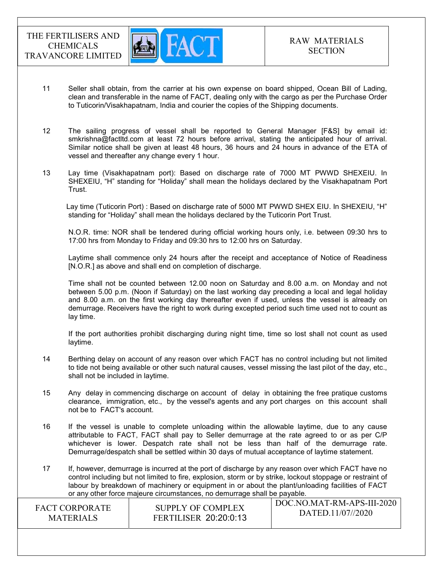

- 11 Seller shall obtain, from the carrier at his own expense on board shipped, Ocean Bill of Lading, clean and transferable in the name of FACT, dealing only with the cargo as per the Purchase Order to Tuticorin/Visakhapatnam, India and courier the copies of the Shipping documents.
- 12 The sailing progress of vessel shall be reported to General Manager [F&S] by email id: smkrishna@factltd.com at least 72 hours before arrival, stating the anticipated hour of arrival. Similar notice shall be given at least 48 hours, 36 hours and 24 hours in advance of the ETA of vessel and thereafter any change every 1 hour.
- 13 Lay time (Visakhapatnam port): Based on discharge rate of 7000 MT PWWD SHEXEIU. In SHEXEIU, "H" standing for "Holiday" shall mean the holidays declared by the Visakhapatnam Port Trust.

Lay time (Tuticorin Port) : Based on discharge rate of 5000 MT PWWD SHEX EIU. In SHEXEIU, "H" standing for "Holiday" shall mean the holidays declared by the Tuticorin Port Trust.

 N.O.R. time: NOR shall be tendered during official working hours only, i.e. between 09:30 hrs to 17:00 hrs from Monday to Friday and 09:30 hrs to 12:00 hrs on Saturday.

 Laytime shall commence only 24 hours after the receipt and acceptance of Notice of Readiness [N.O.R.] as above and shall end on completion of discharge.

 Time shall not be counted between 12.00 noon on Saturday and 8.00 a.m. on Monday and not between 5.00 p.m. (Noon if Saturday) on the last working day preceding a local and legal holiday and 8.00 a.m. on the first working day thereafter even if used, unless the vessel is already on demurrage. Receivers have the right to work during excepted period such time used not to count as lay time.

 If the port authorities prohibit discharging during night time, time so lost shall not count as used laytime.

- 14 Berthing delay on account of any reason over which FACT has no control including but not limited to tide not being available or other such natural causes, vessel missing the last pilot of the day, etc., shall not be included in laytime.
- 15 Any delay in commencing discharge on account of delay in obtaining the free pratique customs clearance, immigration, etc., by the vessel's agents and any port charges on this account shall not be to FACT's account.
- 16 If the vessel is unable to complete unloading within the allowable laytime, due to any cause attributable to FACT, FACT shall pay to Seller demurrage at the rate agreed to or as per C/P whichever is lower. Despatch rate shall not be less than half of the demurrage rate. Demurrage/despatch shall be settled within 30 days of mutual acceptance of laytime statement.
- 17 If, however, demurrage is incurred at the port of discharge by any reason over which FACT have no control including but not limited to fire, explosion, storm or by strike, lockout stoppage or restraint of labour by breakdown of machinery or equipment in or about the plant/unloading facilities of FACT or any other force majeure circumstances, no demurrage shall be payable.

| <b>FACT CORPORATE</b> | SUPPLY OF COMPLEX            | DOC.NO.MAT-RM-APS-III-2020<br>DATED.11/07//2020 |
|-----------------------|------------------------------|-------------------------------------------------|
| <b>MATERIALS</b>      | <b>FERTILISER 20:20:0:13</b> |                                                 |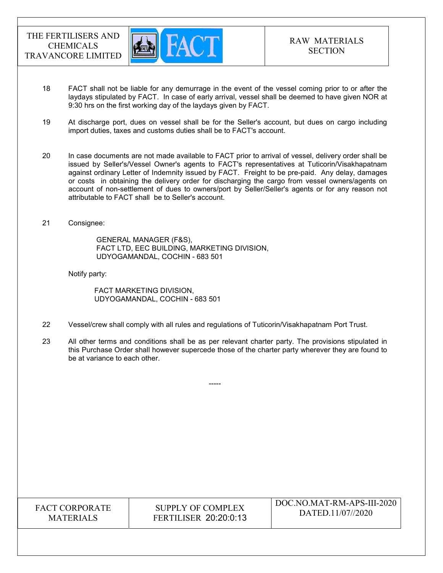

- 18 FACT shall not be liable for any demurrage in the event of the vessel coming prior to or after the laydays stipulated by FACT. In case of early arrival, vessel shall be deemed to have given NOR at 9:30 hrs on the first working day of the laydays given by FACT.
- 19 At discharge port, dues on vessel shall be for the Seller's account, but dues on cargo including import duties, taxes and customs duties shall be to FACT's account.
- 20 In case documents are not made available to FACT prior to arrival of vessel, delivery order shall be issued by Seller's/Vessel Owner's agents to FACT's representatives at Tuticorin/Visakhapatnam against ordinary Letter of Indemnity issued by FACT. Freight to be pre-paid. Any delay, damages or costs in obtaining the delivery order for discharging the cargo from vessel owners/agents on account of non-settlement of dues to owners/port by Seller/Seller's agents or for any reason not attributable to FACT shall be to Seller's account.
- 21 Consignee:

 GENERAL MANAGER (F&S), FACT LTD, EEC BUILDING, MARKETING DIVISION, UDYOGAMANDAL, COCHIN - 683 501

Notify party:

 FACT MARKETING DIVISION, UDYOGAMANDAL, COCHIN - 683 501

- 22 Vessel/crew shall comply with all rules and regulations of Tuticorin/Visakhapatnam Port Trust.
- 23 All other terms and conditions shall be as per relevant charter party. The provisions stipulated in this Purchase Order shall however supercede those of the charter party wherever they are found to be at variance to each other.

-----

| <b>FACT CORPORATE</b> |
|-----------------------|
| <b>MATERIALS</b>      |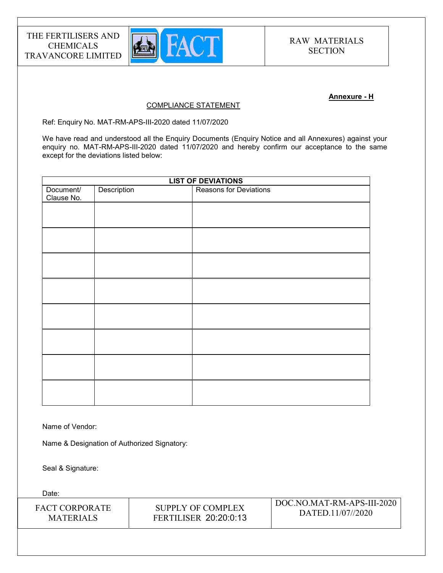

## Annexure - H

#### COMPLIANCE STATEMENT

Ref: Enquiry No. MAT-RM-APS-III-2020 dated 11/07/2020

We have read and understood all the Enquiry Documents (Enquiry Notice and all Annexures) against your enquiry no. MAT-RM-APS-III-2020 dated 11/07/2020 and hereby confirm our acceptance to the same except for the deviations listed below:

| <b>LIST OF DEVIATIONS</b> |             |                               |
|---------------------------|-------------|-------------------------------|
| Document/<br>Clause No.   | Description | <b>Reasons for Deviations</b> |
|                           |             |                               |
|                           |             |                               |
|                           |             |                               |
|                           |             |                               |
|                           |             |                               |
|                           |             |                               |
|                           |             |                               |
|                           |             |                               |
|                           |             |                               |
|                           |             |                               |
|                           |             |                               |

Name of Vendor:

Name & Designation of Authorized Signatory:

Seal & Signature:

Date:

| <b>FACT CORPORATE</b> | SUPPLY OF COMPLEX            | DOC.NO.MAT-RM-APS-III-2020 |
|-----------------------|------------------------------|----------------------------|
| <b>MATERIALS</b>      | <b>FERTILISER 20:20:0:13</b> | DATED.11/07//2020          |
|                       |                              |                            |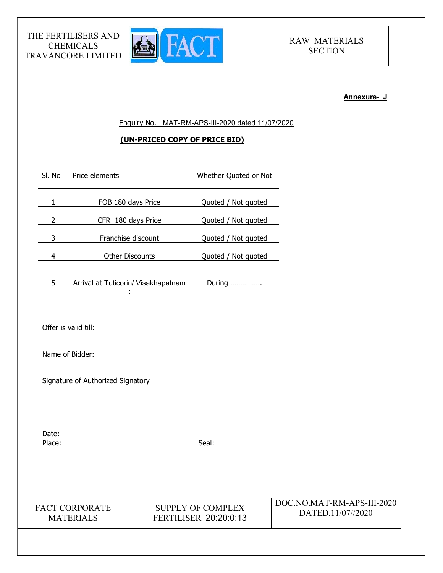

#### Annexure- J

Enquiry No. . MAT-RM-APS-III-2020 dated 11/07/2020

## (UN-PRICED COPY OF PRICE BID)

| SI. No | Price elements                      | Whether Quoted or Not |
|--------|-------------------------------------|-----------------------|
| 1      | FOB 180 days Price                  | Quoted / Not quoted   |
| 2      | CFR 180 days Price                  | Quoted / Not quoted   |
| 3      | Franchise discount                  | Quoted / Not quoted   |
| 4      | <b>Other Discounts</b>              | Quoted / Not quoted   |
| 5      | Arrival at Tuticorin/ Visakhapatnam | During                |

Offer is valid till:

Name of Bidder:

Signature of Authorized Signatory

Date: Place: Seal: Seal: Seal: Seal: Seal: Seal: Seal: Seal: Seal: Seal: Seal: Seal: Seal: Seal: Seal: Seal: Seal: Seal: Seal: Seal: Seal: Seal: Seal: Seal: Seal: Seal: Seal: Seal: Seal: Seal: Seal: Seal: Seal: Seal: Seal: Seal:

FACT CORPORATE MATERIALS

SUPPLY OF COMPLEX FERTILISER 20:20:0:13 DOC.NO.MAT-RM-APS-III-2020 DATED.11/07//2020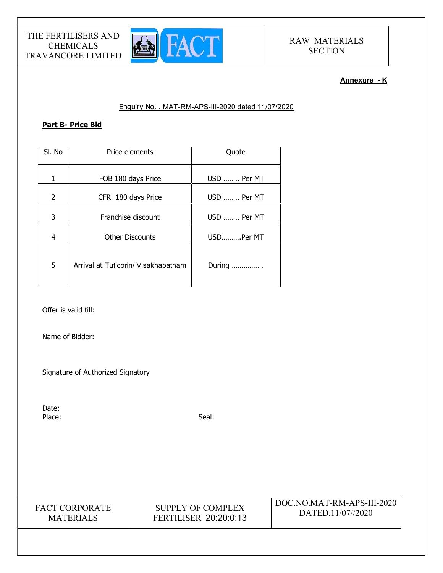

## Annexure - K

## Enquiry No. . MAT-RM-APS-III-2020 dated 11/07/2020

## Part B- Price Bid

| SI. No | Price elements                      | Quote       |
|--------|-------------------------------------|-------------|
| 1      | FOB 180 days Price                  | USD  Per MT |
| 2      | CFR 180 days Price                  | USD  Per MT |
| 3      | Franchise discount                  | USD  Per MT |
| 4      | <b>Other Discounts</b>              | USDPer MT   |
| 5      | Arrival at Tuticorin/ Visakhapatnam | During      |

Offer is valid till:

Name of Bidder:

Signature of Authorized Signatory

Date: Place: Seal: Seal: Seal: Seal: Seal: Seal: Seal: Seal: Seal: Seal: Seal: Seal: Seal: Seal: Seal: Seal: Seal: Seal: Seal: Seal: Seal: Seal: Seal: Seal: Seal: Seal: Seal: Seal: Seal: Seal: Seal: Seal: Seal: Seal: Seal: Seal:



SUPPLY OF COMPLEX FERTILISER 20:20:0:13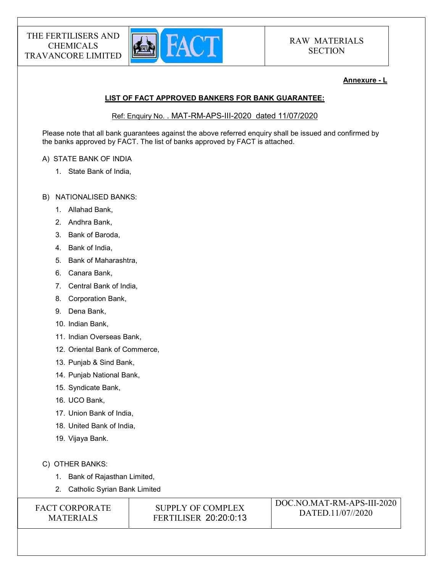

## Annexure - L

## LIST OF FACT APPROVED BANKERS FOR BANK GUARANTEE:

Ref: Enquiry No. . MAT-RM-APS-III-2020 dated 11/07/2020

Please note that all bank guarantees against the above referred enquiry shall be issued and confirmed by the banks approved by FACT. The list of banks approved by FACT is attached.

### A) STATE BANK OF INDIA

- 1. State Bank of India,
- B) NATIONALISED BANKS:
	- 1. Allahad Bank,
	- 2. Andhra Bank,
	- 3. Bank of Baroda,
	- 4. Bank of India,
	- 5. Bank of Maharashtra,
	- 6. Canara Bank,
	- 7. Central Bank of India,
	- 8. Corporation Bank,
	- 9. Dena Bank,
	- 10. Indian Bank,
	- 11. Indian Overseas Bank,
	- 12. Oriental Bank of Commerce,
	- 13. Punjab & Sind Bank,
	- 14. Punjab National Bank,
	- 15. Syndicate Bank,
	- 16. UCO Bank,
	- 17. Union Bank of India,
	- 18. United Bank of India,
	- 19. Vijaya Bank.
- C) OTHER BANKS:
	- 1. Bank of Rajasthan Limited,
	- 2. Catholic Syrian Bank Limited

| <b>FACT CORPORATE</b> | SUPPLY OF COMPLEX            | DOC.NO.MAT-RM-APS-III-2020 |
|-----------------------|------------------------------|----------------------------|
| <b>MATERIALS</b>      | <b>FERTILISER 20:20:0:13</b> | DATED.11/07//2020          |
|                       |                              |                            |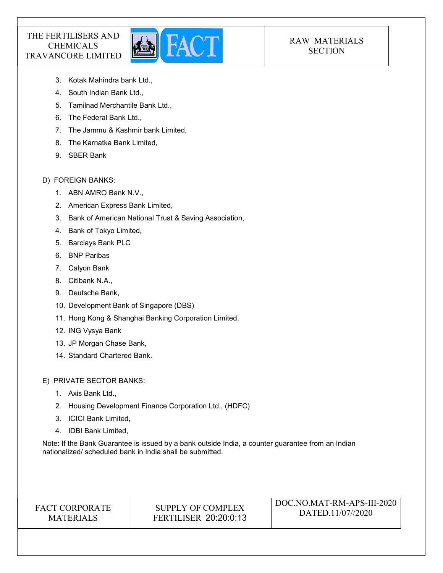

# RAW MATERIALS **SECTION**

- 3. Kotak Mahindra bank Ltd.,
- 4. South Indian Bank Ltd.,
- 5. Tamilnad Merchantile Bank Ltd.,
- 6. The Federal Bank Ltd.,
- 7. The Jammu & Kashmir bank Limited,
- 8. The Karnatka Bank Limited,
- 9. SBER Bank

## D) FOREIGN BANKS:

- 1. ABN AMRO Bank N.V.,
- 2. American Express Bank Limited,
- 3. Bank of American National Trust & Saving Association,
- 4. Bank of Tokyo Limited,
- 5. Barclays Bank PLC
- 6. BNP Paribas
- 7. Calyon Bank
- 8. Citibank N.A.,
- 9. Deutsche Bank,
- 10. Development Bank of Singapore (DBS)
- 11. Hong Kong & Shanghai Banking Corporation Limited,
- 12. ING Vysya Bank
- 13. JP Morgan Chase Bank,
- 14. Standard Chartered Bank.

E) PRIVATE SECTOR BANKS:

- 1. Axis Bank Ltd.,
- 2. Housing Development Finance Corporation Ltd., (HDFC)
- 3. ICICI Bank Limited,
- 4. IDBI Bank Limited,

Note: If the Bank Guarantee is issued by a bank outside India, a counter guarantee from an Indian nationalized/ scheduled bank in India shall be submitted.

## FACT CORPORATE MATERIALS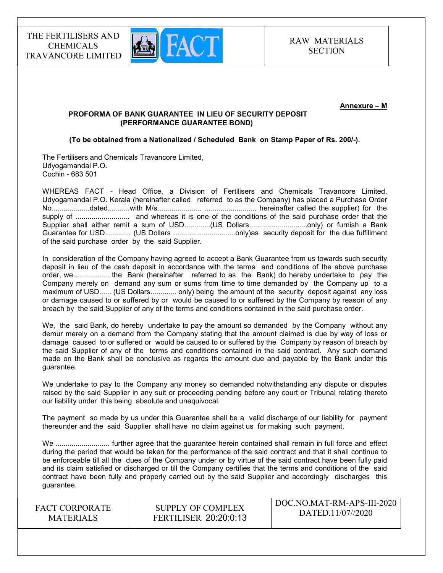

#### Annexure – M

## PROFORMA OF BANK GUARANTEE IN LIEU OF SECURITY DEPOSIT (PERFORMANCE GUARANTEE BOND)

#### (To be obtained from a Nationalized / Scheduled Bank on Stamp Paper of Rs. 200/-).

The Fertilisers and Chemicals Travancore Limited, Udyogamandal P.O. Cochin - 683 501

WHEREAS FACT - Head Office, a Division of Fertilisers and Chemicals Travancore Limited, Udyogamandal P.O. Kerala (hereinafter called referred to as the Company) has placed a Purchase Order No...................dated...........with M/s...................... .......................... hereinafter called the supplier) for the supply of ........................... and whereas it is one of the conditions of the said purchase order that the Supplier shall either remit a sum of USD..............(US Dollars..................................only) or furnish a Bank Guarantee for USD............. (US Dollars ...............................only)as security deposit for the due fulfillment of the said purchase order by the said Supplier.

In consideration of the Company having agreed to accept a Bank Guarantee from us towards such security deposit in lieu of the cash deposit in accordance with the terms and conditions of the above purchase order, we.................. the Bank (hereinafter referred to as the Bank) do hereby undertake to pay the Company merely on demand any sum or sums from time to time demanded by the Company up to a maximum of USD...... (US Dollars............. only) being the amount of the security deposit against any loss or damage caused to or suffered by or would be caused to or suffered by the Company by reason of any breach by the said Supplier of any of the terms and conditions contained in the said purchase order.

We, the said Bank, do hereby undertake to pay the amount so demanded by the Company without any demur merely on a demand from the Company stating that the amount claimed is due by way of loss or damage caused to or suffered or would be caused to or suffered by the Company by reason of breach by the said Supplier of any of the terms and conditions contained in the said contract. Any such demand made on the Bank shall be conclusive as regards the amount due and payable by the Bank under this guarantee.

We undertake to pay to the Company any money so demanded notwithstanding any dispute or disputes raised by the said Supplier in any suit or proceeding pending before any court or Tribunal relating thereto our liability under this being absolute and unequivocal.

The payment so made by us under this Guarantee shall be a valid discharge of our liability for payment thereunder and the said Supplier shall have no claim against us for making such payment.

We ........................... further agree that the guarantee herein contained shall remain in full force and effect during the period that would be taken for the performance of the said contract and that it shall continue to be enforceable till all the dues of the Company under or by virtue of the said contract have been fully paid and its claim satisfied or discharged or till the Company certifies that the terms and conditions of the said contract have been fully and properly carried out by the said Supplier and accordingly discharges this guarantee.

FACT CORPORATE **MATERIALS** 

SUPPLY OF COMPLEX FERTILISER 20:20:0:13